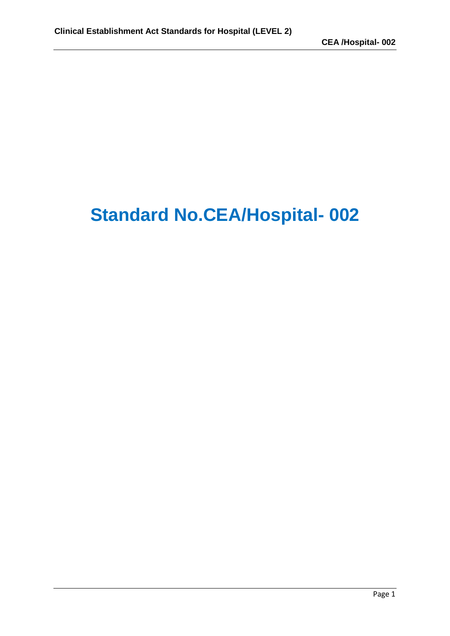## **Standard No.CEA/Hospital- 002**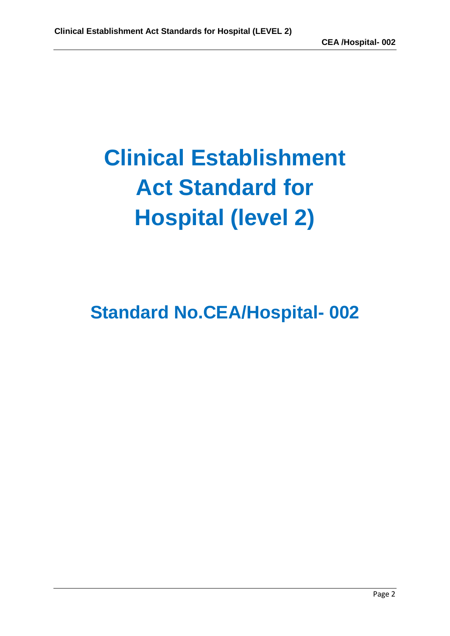# **Clinical Establishment Act Standard for Hospital (level 2)**

## **Standard No.CEA/Hospital- 002**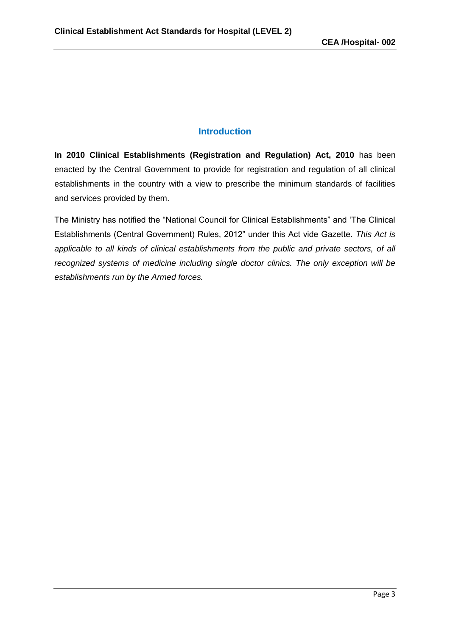#### **Introduction**

**In 2010 Clinical Establishments (Registration and Regulation) Act, 2010** has been enacted by the Central Government to provide for registration and regulation of all clinical establishments in the country with a view to prescribe the minimum standards of facilities and services provided by them.

The Ministry has notified the "National Council for Clinical Establishments" and 'The Clinical Establishments (Central Government) Rules, 2012" under this Act vide Gazette. *This Act is applicable to all kinds of clinical establishments from the public and private sectors, of all recognized systems of medicine including single doctor clinics. The only exception will be establishments run by the Armed forces.*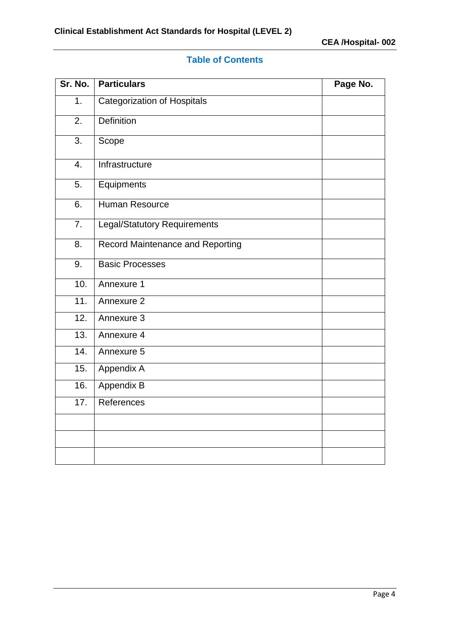## **Table of Contents**

| Sr. No.          | <b>Particulars</b>               | Page No. |
|------------------|----------------------------------|----------|
| 1.               | Categorization of Hospitals      |          |
| 2.               | <b>Definition</b>                |          |
| $\overline{3}$ . | Scope                            |          |
| $\overline{4}$ . | Infrastructure                   |          |
| 5.               | Equipments                       |          |
| 6.               | Human Resource                   |          |
| 7.               | Legal/Statutory Requirements     |          |
| 8.               | Record Maintenance and Reporting |          |
| 9.               | <b>Basic Processes</b>           |          |
| 10.              | Annexure 1                       |          |
| 11.              | Annexure 2                       |          |
| 12.              | Annexure 3                       |          |
| 13.              | Annexure 4                       |          |
| 14.              | Annexure 5                       |          |
| 15.              | Appendix A                       |          |
| 16.              | Appendix B                       |          |
| 17.              | References                       |          |
|                  |                                  |          |
|                  |                                  |          |
|                  |                                  |          |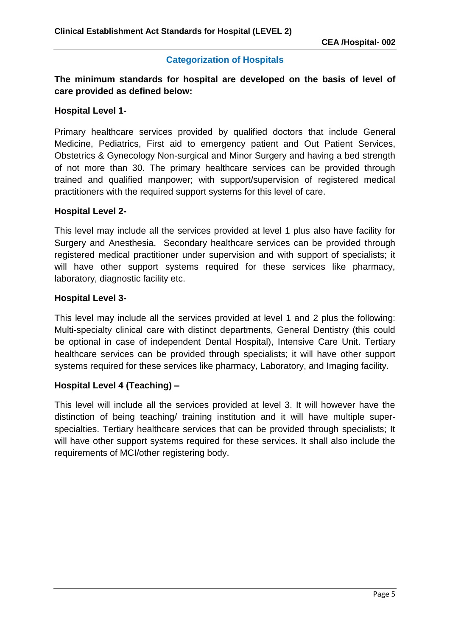#### **Categorization of Hospitals**

**The minimum standards for hospital are developed on the basis of level of care provided as defined below:**

#### **Hospital Level 1-**

Primary healthcare services provided by qualified doctors that include General Medicine, Pediatrics, First aid to emergency patient and Out Patient Services, Obstetrics & Gynecology Non-surgical and Minor Surgery and having a bed strength of not more than 30. The primary healthcare services can be provided through trained and qualified manpower; with support/supervision of registered medical practitioners with the required support systems for this level of care.

#### **Hospital Level 2-**

This level may include all the services provided at level 1 plus also have facility for Surgery and Anesthesia. Secondary healthcare services can be provided through registered medical practitioner under supervision and with support of specialists; it will have other support systems required for these services like pharmacy, laboratory, diagnostic facility etc.

#### **Hospital Level 3-**

This level may include all the services provided at level 1 and 2 plus the following: Multi-specialty clinical care with distinct departments, General Dentistry (this could be optional in case of independent Dental Hospital), Intensive Care Unit. Tertiary healthcare services can be provided through specialists; it will have other support systems required for these services like pharmacy, Laboratory, and Imaging facility.

#### **Hospital Level 4 (Teaching) –**

This level will include all the services provided at level 3. It will however have the distinction of being teaching/ training institution and it will have multiple superspecialties. Tertiary healthcare services that can be provided through specialists; It will have other support systems required for these services. It shall also include the requirements of MCI/other registering body.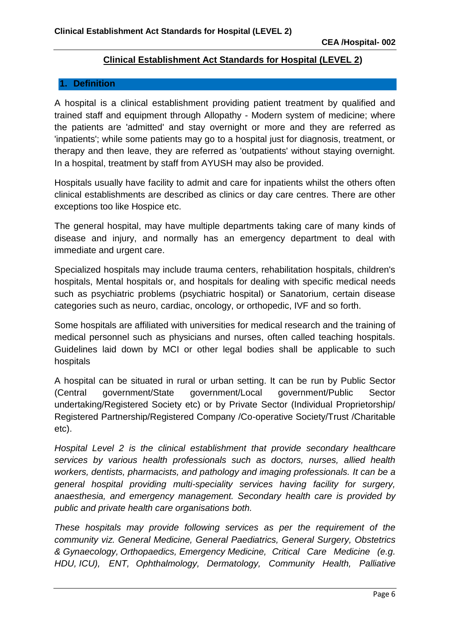#### **Clinical Establishment Act Standards for Hospital (LEVEL 2)**

#### **1. Definition**

A hospital is a clinical establishment providing patient treatment by qualified and trained staff and equipment through Allopathy - Modern system of medicine; where the patients are 'admitted' and stay overnight or more and they are referred as 'inpatients'; while some patients may go to a hospital just for diagnosis, treatment, or therapy and then leave, they are referred as 'outpatients' without staying overnight. In a hospital, treatment by staff from AYUSH may also be provided.

Hospitals usually have facility to admit and care for inpatients whilst the others often clinical establishments are described as clinics or day care centres. There are other exceptions too like Hospice etc.

The general hospital, may have multiple departments taking care of many kinds of disease and injury, and normally has an emergency department to deal with immediate and urgent care.

Specialized hospitals may include trauma centers, rehabilitation hospitals, children's hospitals, Mental hospitals or, and hospitals for dealing with specific medical needs such as psychiatric problems (psychiatric hospital) or Sanatorium, certain disease categories such as neuro, cardiac, oncology, or orthopedic, IVF and so forth.

Some hospitals are affiliated with universities for medical research and the training of medical personnel such as physicians and nurses, often called teaching hospitals. Guidelines laid down by MCI or other legal bodies shall be applicable to such hospitals

A hospital can be situated in rural or urban setting. It can be run by Public Sector (Central government/State government/Local government/Public Sector undertaking/Registered Society etc) or by Private Sector (Individual Proprietorship/ Registered Partnership/Registered Company /Co-operative Society/Trust /Charitable etc).

*Hospital Level 2 is the clinical establishment that provide secondary healthcare services by various health professionals such as doctors, nurses, allied health workers, dentists, pharmacists, and pathology and imaging professionals. It can be a general hospital providing multi-speciality services having facility for surgery, anaesthesia, and emergency management. Secondary health care is provided by public and private health care organisations both.*

*These hospitals may provide following services as per the requirement of the community viz. General Medicine, General Paediatrics, General Surgery, Obstetrics & Gynaecology, Orthopaedics, Emergency Medicine, Critical Care Medicine (e.g. HDU, ICU), ENT, Ophthalmology, Dermatology, Community Health, Palliative*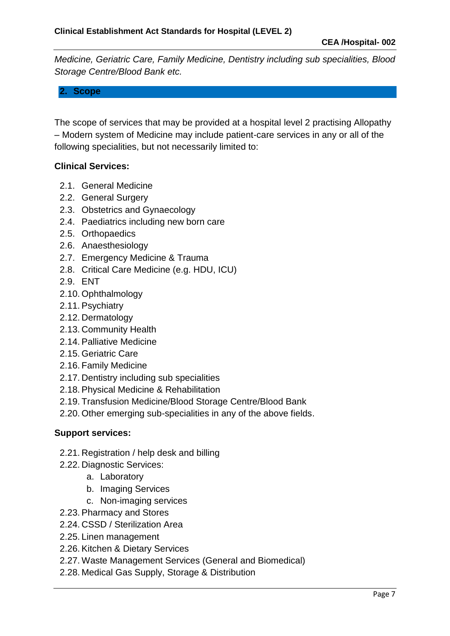*Medicine, Geriatric Care, Family Medicine, Dentistry including sub specialities, Blood Storage Centre/Blood Bank etc.*

### **2. Scope**

The scope of services that may be provided at a hospital level 2 practising Allopathy – Modern system of Medicine may include patient-care services in any or all of the following specialities, but not necessarily limited to:

#### **Clinical Services:**

- 2.1. General Medicine
- 2.2. General Surgery
- 2.3. Obstetrics and Gynaecology
- 2.4. Paediatrics including new born care
- 2.5. Orthopaedics
- 2.6. Anaesthesiology
- 2.7. Emergency Medicine & Trauma
- 2.8. Critical Care Medicine (e.g. HDU, ICU)
- 2.9. ENT
- 2.10. Ophthalmology
- 2.11. Psychiatry
- 2.12. Dermatology
- 2.13. Community Health
- 2.14. Palliative Medicine
- 2.15. Geriatric Care
- 2.16. Family Medicine
- 2.17. Dentistry including sub specialities
- 2.18. Physical Medicine & Rehabilitation
- 2.19. Transfusion Medicine/Blood Storage Centre/Blood Bank
- 2.20. Other emerging sub-specialities in any of the above fields.

#### **Support services:**

- 2.21. Registration / help desk and billing
- 2.22. Diagnostic Services:
	- a. Laboratory
	- b. Imaging Services
	- c. Non-imaging services
- 2.23. Pharmacy and Stores
- 2.24. CSSD / Sterilization Area
- 2.25. Linen management
- 2.26. Kitchen & Dietary Services
- 2.27. Waste Management Services (General and Biomedical)
- 2.28. Medical Gas Supply, Storage & Distribution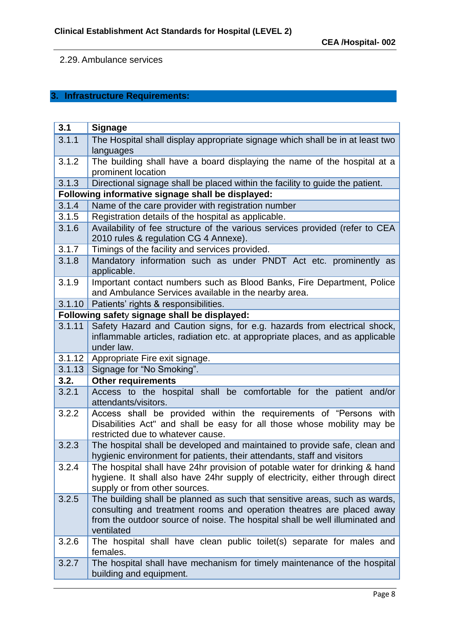### 2.29. Ambulance services

## **3. Infrastructure Requirements:**

| 3.1    | <b>Signage</b>                                                                                                                                                                                                                                    |
|--------|---------------------------------------------------------------------------------------------------------------------------------------------------------------------------------------------------------------------------------------------------|
| 3.1.1  | The Hospital shall display appropriate signage which shall be in at least two                                                                                                                                                                     |
|        | languages                                                                                                                                                                                                                                         |
| 3.1.2  | The building shall have a board displaying the name of the hospital at a                                                                                                                                                                          |
|        | prominent location                                                                                                                                                                                                                                |
| 3.1.3  | Directional signage shall be placed within the facility to guide the patient.                                                                                                                                                                     |
|        | Following informative signage shall be displayed:                                                                                                                                                                                                 |
| 3.1.4  | Name of the care provider with registration number                                                                                                                                                                                                |
| 3.1.5  | Registration details of the hospital as applicable.                                                                                                                                                                                               |
| 3.1.6  | Availability of fee structure of the various services provided (refer to CEA<br>2010 rules & regulation CG 4 Annexe).                                                                                                                             |
| 3.1.7  | Timings of the facility and services provided.                                                                                                                                                                                                    |
| 3.1.8  | Mandatory information such as under PNDT Act etc. prominently as<br>applicable.                                                                                                                                                                   |
| 3.1.9  | Important contact numbers such as Blood Banks, Fire Department, Police<br>and Ambulance Services available in the nearby area.                                                                                                                    |
| 3.1.10 | Patients' rights & responsibilities.                                                                                                                                                                                                              |
|        | Following safety signage shall be displayed:                                                                                                                                                                                                      |
| 3.1.11 | Safety Hazard and Caution signs, for e.g. hazards from electrical shock,                                                                                                                                                                          |
|        | inflammable articles, radiation etc. at appropriate places, and as applicable                                                                                                                                                                     |
|        | under law.                                                                                                                                                                                                                                        |
| 3.1.12 | Appropriate Fire exit signage.                                                                                                                                                                                                                    |
| 3.1.13 | Signage for "No Smoking".                                                                                                                                                                                                                         |
| 3.2.   | <b>Other requirements</b>                                                                                                                                                                                                                         |
| 3.2.1  | Access to the hospital shall be comfortable for the patient and/or<br>attendants/visitors.                                                                                                                                                        |
| 3.2.2  | Access shall be provided within the requirements of "Persons with<br>Disabilities Act" and shall be easy for all those whose mobility may be<br>restricted due to whatever cause.                                                                 |
| 3.2.3  | The hospital shall be developed and maintained to provide safe, clean and<br>hygienic environment for patients, their attendants, staff and visitors                                                                                              |
| 3.2.4  | The hospital shall have 24hr provision of potable water for drinking & hand<br>hygiene. It shall also have 24hr supply of electricity, either through direct<br>supply or from other sources.                                                     |
| 3.2.5  | The building shall be planned as such that sensitive areas, such as wards,<br>consulting and treatment rooms and operation theatres are placed away<br>from the outdoor source of noise. The hospital shall be well illuminated and<br>ventilated |
| 3.2.6  | The hospital shall have clean public toilet(s) separate for males and<br>females.                                                                                                                                                                 |
| 3.2.7  | The hospital shall have mechanism for timely maintenance of the hospital<br>building and equipment.                                                                                                                                               |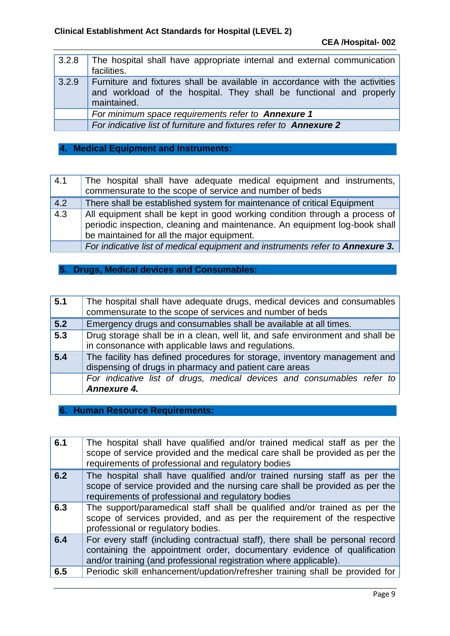|       | 3.2.8 The hospital shall have appropriate internal and external communication<br>facilities.                                                                      |
|-------|-------------------------------------------------------------------------------------------------------------------------------------------------------------------|
| 3.2.9 | Furniture and fixtures shall be available in accordance with the activities<br>and workload of the hospital. They shall be functional and properly<br>maintained. |
|       | For minimum space requirements refer to Annexure 1                                                                                                                |
|       | For indicative list of furniture and fixtures refer to <b>Annexure 2</b>                                                                                          |

## **4. Medical Equipment and Instruments:**

| 4.1 | The hospital shall have adequate medical equipment and instruments,                                                                                                                                    |
|-----|--------------------------------------------------------------------------------------------------------------------------------------------------------------------------------------------------------|
|     | commensurate to the scope of service and number of beds                                                                                                                                                |
| 4.2 | There shall be established system for maintenance of critical Equipment                                                                                                                                |
| 4.3 | All equipment shall be kept in good working condition through a process of<br>periodic inspection, cleaning and maintenance. An equipment log-book shall<br>be maintained for all the major equipment. |
|     | For indicative list of medical equipment and instruments refer to Annexure 3.                                                                                                                          |

#### **5. Drugs, Medical devices and Consumables:**

| 5.1              | The hospital shall have adequate drugs, medical devices and consumables<br>commensurate to the scope of services and number of beds  |
|------------------|--------------------------------------------------------------------------------------------------------------------------------------|
| 5.2              | Emergency drugs and consumables shall be available at all times.                                                                     |
| $\overline{5.3}$ | Drug storage shall be in a clean, well lit, and safe environment and shall be<br>in consonance with applicable laws and regulations. |
| 5.4              | The facility has defined procedures for storage, inventory management and<br>dispensing of drugs in pharmacy and patient care areas  |
|                  | For indicative list of drugs, medical devices and consumables refer to<br>Annexure 4.                                                |

#### **6. Human Resource Requirements:**

| 6.1 | The hospital shall have qualified and/or trained medical staff as per the<br>scope of service provided and the medical care shall be provided as per the<br>requirements of professional and regulatory bodies                |
|-----|-------------------------------------------------------------------------------------------------------------------------------------------------------------------------------------------------------------------------------|
| 6.2 | The hospital shall have qualified and/or trained nursing staff as per the<br>scope of service provided and the nursing care shall be provided as per the<br>requirements of professional and regulatory bodies                |
| 6.3 | The support/paramedical staff shall be qualified and/or trained as per the<br>scope of services provided, and as per the requirement of the respective<br>professional or regulatory bodies.                                  |
| 6.4 | For every staff (including contractual staff), there shall be personal record<br>containing the appointment order, documentary evidence of qualification<br>and/or training (and professional registration where applicable). |
| 6.5 | Periodic skill enhancement/updation/refresher training shall be provided for                                                                                                                                                  |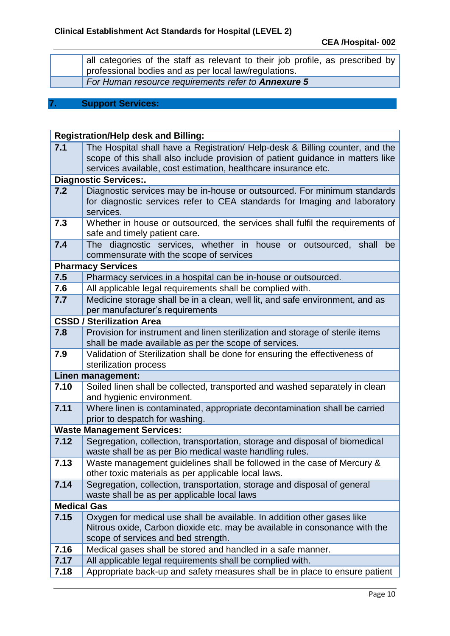| all categories of the staff as relevant to their job profile, as prescribed by<br>professional bodies and as per local law/regulations. |
|-----------------------------------------------------------------------------------------------------------------------------------------|
| For Human resource requirements refer to <b>Annexure 5</b>                                                                              |

#### **7. Support Services:**

|                    | <b>Registration/Help desk and Billing:</b>                                                                                             |
|--------------------|----------------------------------------------------------------------------------------------------------------------------------------|
| 7.1                | The Hospital shall have a Registration/ Help-desk & Billing counter, and the                                                           |
|                    | scope of this shall also include provision of patient guidance in matters like                                                         |
|                    | services available, cost estimation, healthcare insurance etc.                                                                         |
|                    | <b>Diagnostic Services:.</b>                                                                                                           |
| 7.2                | Diagnostic services may be in-house or outsourced. For minimum standards                                                               |
|                    | for diagnostic services refer to CEA standards for Imaging and laboratory<br>services.                                                 |
| 7.3                | Whether in house or outsourced, the services shall fulfil the requirements of                                                          |
|                    | safe and timely patient care.                                                                                                          |
| 7.4                | diagnostic services, whether in house or outsourced, shall<br>The<br>be                                                                |
|                    | commensurate with the scope of services                                                                                                |
|                    | <b>Pharmacy Services</b>                                                                                                               |
| 7.5                | Pharmacy services in a hospital can be in-house or outsourced.                                                                         |
| 7.6                | All applicable legal requirements shall be complied with.                                                                              |
| 7.7                | Medicine storage shall be in a clean, well lit, and safe environment, and as                                                           |
|                    | per manufacturer's requirements                                                                                                        |
|                    | <b>CSSD / Sterilization Area</b>                                                                                                       |
| 7.8                | Provision for instrument and linen sterilization and storage of sterile items                                                          |
| 7.9                | shall be made available as per the scope of services.<br>Validation of Sterilization shall be done for ensuring the effectiveness of   |
|                    | sterilization process                                                                                                                  |
|                    | Linen management:                                                                                                                      |
| 7.10               | Soiled linen shall be collected, transported and washed separately in clean                                                            |
|                    | and hygienic environment.                                                                                                              |
| 7.11               | Where linen is contaminated, appropriate decontamination shall be carried                                                              |
|                    | prior to despatch for washing.                                                                                                         |
|                    | <b>Waste Management Services:</b>                                                                                                      |
| 7.12               | Segregation, collection, transportation, storage and disposal of biomedical<br>waste shall be as per Bio medical waste handling rules. |
| 7.13               | Waste management guidelines shall be followed in the case of Mercury &                                                                 |
|                    | other toxic materials as per applicable local laws.                                                                                    |
| 7.14               | Segregation, collection, transportation, storage and disposal of general                                                               |
| <b>Medical Gas</b> | waste shall be as per applicable local laws                                                                                            |
| 7.15               | Oxygen for medical use shall be available. In addition other gases like                                                                |
|                    | Nitrous oxide, Carbon dioxide etc. may be available in consonance with the                                                             |
|                    | scope of services and bed strength.                                                                                                    |
| 7.16               | Medical gases shall be stored and handled in a safe manner.                                                                            |
| 7.17               | All applicable legal requirements shall be complied with.                                                                              |
| 7.18               | Appropriate back-up and safety measures shall be in place to ensure patient                                                            |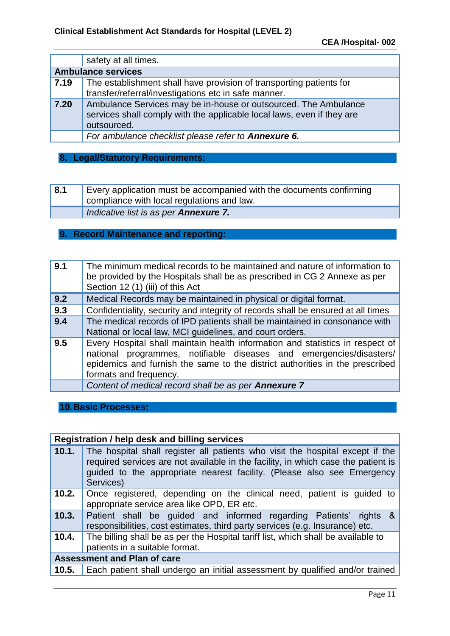|      | safety at all times.                                                                                                                                     |
|------|----------------------------------------------------------------------------------------------------------------------------------------------------------|
|      | <b>Ambulance services</b>                                                                                                                                |
| 7.19 | The establishment shall have provision of transporting patients for<br>transfer/referral/investigations etc in safe manner.                              |
| 7.20 | Ambulance Services may be in-house or outsourced. The Ambulance<br>services shall comply with the applicable local laws, even if they are<br>outsourced. |
|      | For ambulance checklist please refer to Annexure 6.                                                                                                      |

## **8. Legal/Statutory Requirements:**

| 8.1 | Every application must be accompanied with the documents confirming<br>compliance with local regulations and law. |
|-----|-------------------------------------------------------------------------------------------------------------------|
|     | Indicative list is as per <b>Annexure 7.</b>                                                                      |

#### **9. Record Maintenance and reporting:**

| 9.1 | The minimum medical records to be maintained and nature of information to<br>be provided by the Hospitals shall be as prescribed in CG 2 Annexe as per<br>Section 12 (1) (iii) of this Act                                                                     |
|-----|----------------------------------------------------------------------------------------------------------------------------------------------------------------------------------------------------------------------------------------------------------------|
| 9.2 | Medical Records may be maintained in physical or digital format.                                                                                                                                                                                               |
| 9.3 | Confidentiality, security and integrity of records shall be ensured at all times                                                                                                                                                                               |
| 9.4 | The medical records of IPD patients shall be maintained in consonance with<br>National or local law, MCI guidelines, and court orders.                                                                                                                         |
| 9.5 | Every Hospital shall maintain health information and statistics in respect of<br>national programmes, notifiable diseases and emergencies/disasters/<br>epidemics and furnish the same to the district authorities in the prescribed<br>formats and frequency. |
|     | Content of medical record shall be as per Annexure 7                                                                                                                                                                                                           |

**10.Basic Processes:**

|                                    | Registration / help desk and billing services                                                                                                                                                                                                             |
|------------------------------------|-----------------------------------------------------------------------------------------------------------------------------------------------------------------------------------------------------------------------------------------------------------|
| 10.1.                              | The hospital shall register all patients who visit the hospital except if the<br>required services are not available in the facility, in which case the patient is<br>guided to the appropriate nearest facility. (Please also see Emergency<br>Services) |
| 10.2.                              | Once registered, depending on the clinical need, patient is guided to<br>appropriate service area like OPD, ER etc.                                                                                                                                       |
|                                    | <b>10.3.</b> Patient shall be guided and informed regarding Patients' rights &<br>responsibilities, cost estimates, third party services (e.g. Insurance) etc.                                                                                            |
| 10.4.                              | The billing shall be as per the Hospital tariff list, which shall be available to<br>patients in a suitable format.                                                                                                                                       |
| <b>Assessment and Plan of care</b> |                                                                                                                                                                                                                                                           |
| 10.5.                              | Each patient shall undergo an initial assessment by qualified and/or trained                                                                                                                                                                              |
|                                    |                                                                                                                                                                                                                                                           |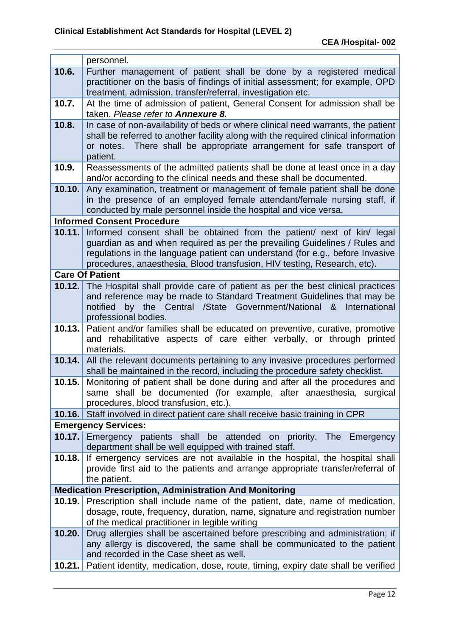|        | personnel.                                                                                                        |
|--------|-------------------------------------------------------------------------------------------------------------------|
| 10.6.  | Further management of patient shall be done by a registered medical                                               |
|        | practitioner on the basis of findings of initial assessment; for example, OPD                                     |
|        | treatment, admission, transfer/referral, investigation etc.                                                       |
| 10.7.  | At the time of admission of patient, General Consent for admission shall be<br>taken. Please refer to Annexure 8. |
| 10.8.  | In case of non-availability of beds or where clinical need warrants, the patient                                  |
|        | shall be referred to another facility along with the required clinical information                                |
|        | There shall be appropriate arrangement for safe transport of<br>or notes.<br>patient.                             |
| 10.9.  | Reassessments of the admitted patients shall be done at least once in a day                                       |
|        | and/or according to the clinical needs and these shall be documented.                                             |
| 10.10. | Any examination, treatment or management of female patient shall be done                                          |
|        | in the presence of an employed female attendant/female nursing staff, if                                          |
|        | conducted by male personnel inside the hospital and vice versa.<br><b>Informed Consent Procedure</b>              |
| 10.11. | Informed consent shall be obtained from the patient/ next of kin/ legal                                           |
|        | guardian as and when required as per the prevailing Guidelines / Rules and                                        |
|        | regulations in the language patient can understand (for e.g., before Invasive                                     |
|        | procedures, anaesthesia, Blood transfusion, HIV testing, Research, etc).                                          |
|        | <b>Care Of Patient</b>                                                                                            |
| 10.12. | The Hospital shall provide care of patient as per the best clinical practices                                     |
|        | and reference may be made to Standard Treatment Guidelines that may be                                            |
|        | by the Central /State Government/National &<br>International<br>notified<br>professional bodies.                  |
| 10.13. | Patient and/or families shall be educated on preventive, curative, promotive                                      |
|        | and rehabilitative aspects of care either verbally, or through printed                                            |
|        | materials.                                                                                                        |
| 10.14. | All the relevant documents pertaining to any invasive procedures performed                                        |
|        | shall be maintained in the record, including the procedure safety checklist.                                      |
| 10.15. | Monitoring of patient shall be done during and after all the procedures and                                       |
|        | same shall be documented (for example, after anaesthesia, surgical<br>procedures, blood transfusion, etc.).       |
| 10.16. | Staff involved in direct patient care shall receive basic training in CPR                                         |
|        | <b>Emergency Services:</b>                                                                                        |
| 10.17. | Emergency patients shall be attended on priority. The Emergency                                                   |
|        | department shall be well equipped with trained staff.                                                             |
| 10.18. | If emergency services are not available in the hospital, the hospital shall                                       |
|        | provide first aid to the patients and arrange appropriate transfer/referral of                                    |
|        | the patient.<br><b>Medication Prescription, Administration And Monitoring</b>                                     |
| 10.19. | Prescription shall include name of the patient, date, name of medication,                                         |
|        | dosage, route, frequency, duration, name, signature and registration number                                       |
|        | of the medical practitioner in legible writing                                                                    |
| 10.20. | Drug allergies shall be ascertained before prescribing and administration; if                                     |
|        | any allergy is discovered, the same shall be communicated to the patient                                          |
|        | and recorded in the Case sheet as well.                                                                           |
| 10.21. | Patient identity, medication, dose, route, timing, expiry date shall be verified                                  |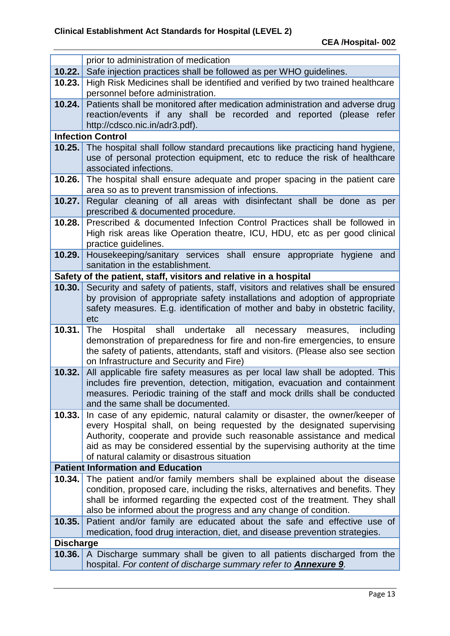|                  | prior to administration of medication                                                                                                                           |  |  |  |  |
|------------------|-----------------------------------------------------------------------------------------------------------------------------------------------------------------|--|--|--|--|
| 10.22.           | Safe injection practices shall be followed as per WHO guidelines.                                                                                               |  |  |  |  |
| 10.23.           | High Risk Medicines shall be identified and verified by two trained healthcare                                                                                  |  |  |  |  |
|                  | personnel before administration.                                                                                                                                |  |  |  |  |
| 10.24.           | Patients shall be monitored after medication administration and adverse drug                                                                                    |  |  |  |  |
|                  | reaction/events if any shall be recorded and reported (please refer                                                                                             |  |  |  |  |
|                  | http://cdsco.nic.in/adr3.pdf).                                                                                                                                  |  |  |  |  |
|                  | <b>Infection Control</b>                                                                                                                                        |  |  |  |  |
| 10.25.           | The hospital shall follow standard precautions like practicing hand hygiene,                                                                                    |  |  |  |  |
|                  | use of personal protection equipment, etc to reduce the risk of healthcare                                                                                      |  |  |  |  |
|                  | associated infections.                                                                                                                                          |  |  |  |  |
| 10.26.           | The hospital shall ensure adequate and proper spacing in the patient care                                                                                       |  |  |  |  |
|                  | area so as to prevent transmission of infections.                                                                                                               |  |  |  |  |
| 10.27.           | Regular cleaning of all areas with disinfectant shall be done as per<br>prescribed & documented procedure.                                                      |  |  |  |  |
| 10.28.           | Prescribed & documented Infection Control Practices shall be followed in                                                                                        |  |  |  |  |
|                  | High risk areas like Operation theatre, ICU, HDU, etc as per good clinical                                                                                      |  |  |  |  |
|                  | practice guidelines.                                                                                                                                            |  |  |  |  |
| 10.29.           | Housekeeping/sanitary services shall ensure appropriate hygiene and                                                                                             |  |  |  |  |
|                  | sanitation in the establishment.                                                                                                                                |  |  |  |  |
|                  | Safety of the patient, staff, visitors and relative in a hospital                                                                                               |  |  |  |  |
| 10.30.           | Security and safety of patients, staff, visitors and relatives shall be ensured                                                                                 |  |  |  |  |
|                  | by provision of appropriate safety installations and adoption of appropriate                                                                                    |  |  |  |  |
|                  | safety measures. E.g. identification of mother and baby in obstetric facility,                                                                                  |  |  |  |  |
|                  | etc                                                                                                                                                             |  |  |  |  |
| 10.31.           | shall undertake all<br>Hospital<br>necessary<br>including<br>The<br>measures,<br>demonstration of preparedness for fire and non-fire emergencies, to ensure     |  |  |  |  |
|                  | the safety of patients, attendants, staff and visitors. (Please also see section                                                                                |  |  |  |  |
|                  | on Infrastructure and Security and Fire)                                                                                                                        |  |  |  |  |
| 10.32.           | All applicable fire safety measures as per local law shall be adopted. This                                                                                     |  |  |  |  |
|                  | includes fire prevention, detection, mitigation, evacuation and containment                                                                                     |  |  |  |  |
|                  | measures. Periodic training of the staff and mock drills shall be conducted                                                                                     |  |  |  |  |
|                  | and the same shall be documented.                                                                                                                               |  |  |  |  |
| 10.33.           | In case of any epidemic, natural calamity or disaster, the owner/keeper of                                                                                      |  |  |  |  |
|                  | every Hospital shall, on being requested by the designated supervising                                                                                          |  |  |  |  |
|                  | Authority, cooperate and provide such reasonable assistance and medical<br>aid as may be considered essential by the supervising authority at the time          |  |  |  |  |
|                  | of natural calamity or disastrous situation                                                                                                                     |  |  |  |  |
|                  | <b>Patient Information and Education</b>                                                                                                                        |  |  |  |  |
| 10.34.           | The patient and/or family members shall be explained about the disease                                                                                          |  |  |  |  |
|                  | condition, proposed care, including the risks, alternatives and benefits. They                                                                                  |  |  |  |  |
|                  | shall be informed regarding the expected cost of the treatment. They shall                                                                                      |  |  |  |  |
|                  | also be informed about the progress and any change of condition.                                                                                                |  |  |  |  |
| 10.35.           | Patient and/or family are educated about the safe and effective use of                                                                                          |  |  |  |  |
|                  | medication, food drug interaction, diet, and disease prevention strategies.                                                                                     |  |  |  |  |
| <b>Discharge</b> |                                                                                                                                                                 |  |  |  |  |
|                  | <b>10.36.</b> A Discharge summary shall be given to all patients discharged from the<br>hospital. For content of discharge summary refer to <b>Annexure 9</b> . |  |  |  |  |
|                  |                                                                                                                                                                 |  |  |  |  |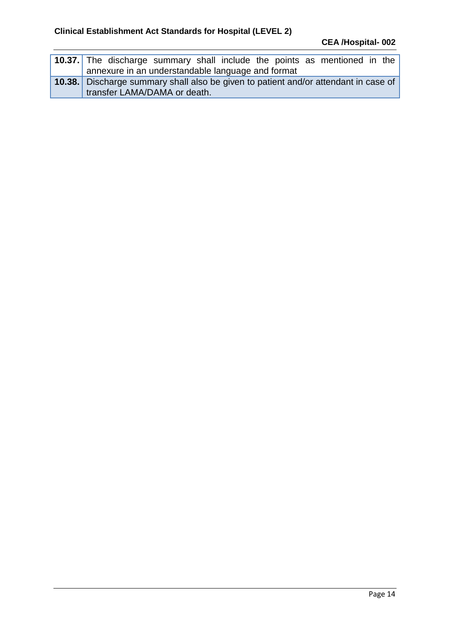| 10.37. The discharge summary shall include the points as mentioned in the                                           |
|---------------------------------------------------------------------------------------------------------------------|
| annexure in an understandable language and format                                                                   |
| 10.38. Discharge summary shall also be given to patient and/or attendant in case of<br>transfer LAMA/DAMA or death. |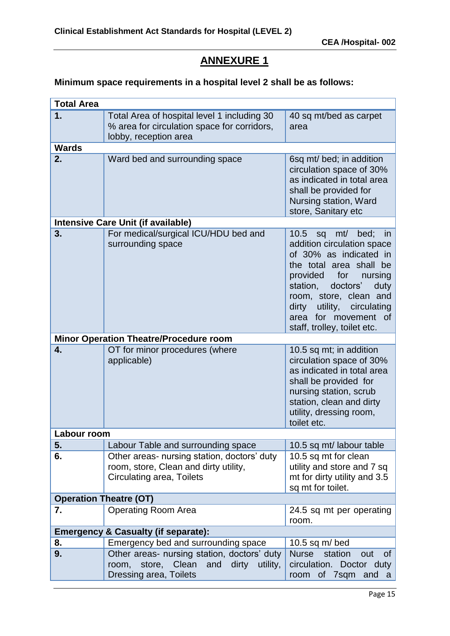## **ANNEXURE 1**

## **Minimum space requirements in a hospital level 2 shall be as follows:**

| <b>Total Area</b> |                                                                                                                   |                                                                                                                                                                                                                                                           |  |  |  |
|-------------------|-------------------------------------------------------------------------------------------------------------------|-----------------------------------------------------------------------------------------------------------------------------------------------------------------------------------------------------------------------------------------------------------|--|--|--|
| 1.                | Total Area of hospital level 1 including 30                                                                       | 40 sq mt/bed as carpet                                                                                                                                                                                                                                    |  |  |  |
|                   | % area for circulation space for corridors,                                                                       | area                                                                                                                                                                                                                                                      |  |  |  |
|                   | lobby, reception area                                                                                             |                                                                                                                                                                                                                                                           |  |  |  |
| <b>Wards</b>      |                                                                                                                   |                                                                                                                                                                                                                                                           |  |  |  |
| 2.                | Ward bed and surrounding space                                                                                    | 6sq mt/ bed; in addition<br>circulation space of 30%<br>as indicated in total area                                                                                                                                                                        |  |  |  |
|                   |                                                                                                                   | shall be provided for<br>Nursing station, Ward<br>store, Sanitary etc                                                                                                                                                                                     |  |  |  |
|                   | <b>Intensive Care Unit (if available)</b>                                                                         |                                                                                                                                                                                                                                                           |  |  |  |
| 3.                | For medical/surgical ICU/HDU bed and                                                                              | 10.5<br>mt/ bed; in<br>sq                                                                                                                                                                                                                                 |  |  |  |
|                   | surrounding space                                                                                                 | addition circulation space<br>of 30% as indicated in<br>the total area shall be<br>provided for<br>nursing<br>doctors'<br>station,<br>duty<br>room, store, clean and<br>dirty utility, circulating<br>area for movement of<br>staff, trolley, toilet etc. |  |  |  |
|                   | <b>Minor Operation Theatre/Procedure room</b>                                                                     |                                                                                                                                                                                                                                                           |  |  |  |
| 4.                | OT for minor procedures (where<br>applicable)                                                                     | 10.5 sq mt; in addition<br>circulation space of 30%<br>as indicated in total area<br>shall be provided for<br>nursing station, scrub<br>station, clean and dirty<br>utility, dressing room,<br>toilet etc.                                                |  |  |  |
| Labour room       |                                                                                                                   |                                                                                                                                                                                                                                                           |  |  |  |
| 5.                | Labour Table and surrounding space                                                                                | 10.5 sq mt/ labour table                                                                                                                                                                                                                                  |  |  |  |
| 6.                | Other areas- nursing station, doctors' duty<br>room, store, Clean and dirty utility,<br>Circulating area, Toilets | 10.5 sq mt for clean<br>utility and store and 7 sq<br>mt for dirty utility and 3.5<br>sq mt for toilet.                                                                                                                                                   |  |  |  |
|                   | <b>Operation Theatre (OT)</b>                                                                                     |                                                                                                                                                                                                                                                           |  |  |  |
| 7.                | <b>Operating Room Area</b>                                                                                        | 24.5 sq mt per operating<br>room.                                                                                                                                                                                                                         |  |  |  |
|                   | <b>Emergency &amp; Casualty (if separate):</b>                                                                    |                                                                                                                                                                                                                                                           |  |  |  |
| 8.                | Emergency bed and surrounding space                                                                               | 10.5 sq $m/bed$                                                                                                                                                                                                                                           |  |  |  |
| 9.                | Other areas- nursing station, doctors' duty<br>store, Clean<br>and<br>dirty<br>room,<br>utility,                  | <b>Nurse</b><br>station<br>of<br>out<br>circulation. Doctor duty                                                                                                                                                                                          |  |  |  |
|                   | Dressing area, Toilets                                                                                            | room of 7sqm<br>and<br>a                                                                                                                                                                                                                                  |  |  |  |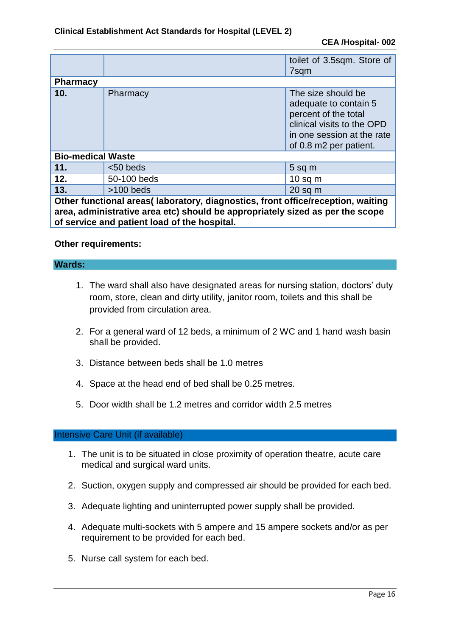|                                                                                                                                                                                                                   |             | toilet of 3.5sqm. Store of<br>7sqm                                                                                                                        |  |
|-------------------------------------------------------------------------------------------------------------------------------------------------------------------------------------------------------------------|-------------|-----------------------------------------------------------------------------------------------------------------------------------------------------------|--|
| <b>Pharmacy</b>                                                                                                                                                                                                   |             |                                                                                                                                                           |  |
| 10 <sub>1</sub>                                                                                                                                                                                                   | Pharmacy    | The size should be<br>adequate to contain 5<br>percent of the total<br>clinical visits to the OPD<br>in one session at the rate<br>of 0.8 m2 per patient. |  |
| <b>Bio-medical Waste</b>                                                                                                                                                                                          |             |                                                                                                                                                           |  |
| 11.                                                                                                                                                                                                               | $< 50$ beds | $5$ sq m                                                                                                                                                  |  |
| 12.                                                                                                                                                                                                               | 50-100 beds | $10$ sq m                                                                                                                                                 |  |
| 13.                                                                                                                                                                                                               | $>100$ beds | $20$ sq m                                                                                                                                                 |  |
| Other functional areas( laboratory, diagnostics, front office/reception, waiting<br>area, administrative area etc) should be appropriately sized as per the scope<br>of service and patient load of the hospital. |             |                                                                                                                                                           |  |

#### **Other requirements:**

#### **Wards:**

- 1. The ward shall also have designated areas for nursing station, doctors' duty room, store, clean and dirty utility, janitor room, toilets and this shall be provided from circulation area.
- 2. For a general ward of 12 beds, a minimum of 2 WC and 1 hand wash basin shall be provided.
- 3. Distance between beds shall be 1.0 metres
- 4. Space at the head end of bed shall be 0.25 metres.
- 5. Door width shall be 1.2 metres and corridor width 2.5 metres

#### Intensive Care Unit (if available)

- 1. The unit is to be situated in close proximity of operation theatre, acute care medical and surgical ward units.
- 2. Suction, oxygen supply and compressed air should be provided for each bed.
- 3. Adequate lighting and uninterrupted power supply shall be provided.
- 4. Adequate multi-sockets with 5 ampere and 15 ampere sockets and/or as per requirement to be provided for each bed.
- 5. Nurse call system for each bed.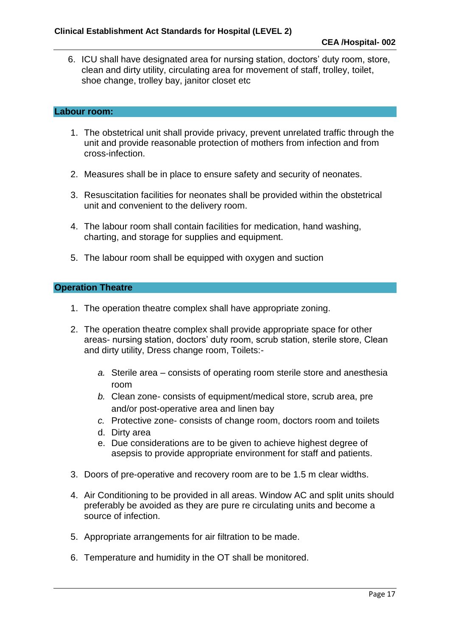6. ICU shall have designated area for nursing station, doctors' duty room, store, clean and dirty utility, circulating area for movement of staff, trolley, toilet, shoe change, trolley bay, janitor closet etc

#### **Labour room:**

- 1. The obstetrical unit shall provide privacy, prevent unrelated traffic through the unit and provide reasonable protection of mothers from infection and from cross-infection.
- 2. Measures shall be in place to ensure safety and security of neonates.
- 3. Resuscitation facilities for neonates shall be provided within the obstetrical unit and convenient to the delivery room.
- 4. The labour room shall contain facilities for medication, hand washing, charting, and storage for supplies and equipment.
- 5. The labour room shall be equipped with oxygen and suction

#### **Operation Theatre**

- 1. The operation theatre complex shall have appropriate zoning.
- 2. The operation theatre complex shall provide appropriate space for other areas- nursing station, doctors' duty room, scrub station, sterile store, Clean and dirty utility, Dress change room, Toilets:
	- *a.* Sterile area consists of operating room sterile store and anesthesia room
	- *b.* Clean zone- consists of equipment/medical store, scrub area, pre and/or post-operative area and linen bay
	- *c.* Protective zone- consists of change room, doctors room and toilets
	- d. Dirty area
	- e. Due considerations are to be given to achieve highest degree of asepsis to provide appropriate environment for staff and patients.
- 3. Doors of pre-operative and recovery room are to be 1.5 m clear widths.
- 4. Air Conditioning to be provided in all areas. Window AC and split units should preferably be avoided as they are pure re circulating units and become a source of infection.
- 5. Appropriate arrangements for air filtration to be made.
- 6. Temperature and humidity in the OT shall be monitored.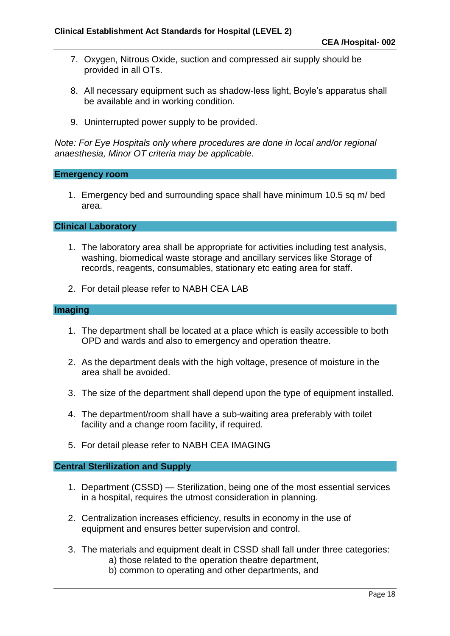- 7. Oxygen, Nitrous Oxide, suction and compressed air supply should be provided in all OTs.
- 8. All necessary equipment such as shadow-less light, Boyle's apparatus shall be available and in working condition.
- 9. Uninterrupted power supply to be provided.

*Note: For Eye Hospitals only where procedures are done in local and/or regional anaesthesia, Minor OT criteria may be applicable.*

#### **Emergency room**

1. Emergency bed and surrounding space shall have minimum 10.5 sq m/ bed area.

**Clinical Laboratory**

- 1. The laboratory area shall be appropriate for activities including test analysis, washing, biomedical waste storage and ancillary services like Storage of records, reagents, consumables, stationary etc eating area for staff.
- 2. For detail please refer to NABH CEA LAB

#### **Imaging**

- 1. The department shall be located at a place which is easily accessible to both OPD and wards and also to emergency and operation theatre.
- 2. As the department deals with the high voltage, presence of moisture in the area shall be avoided.
- 3. The size of the department shall depend upon the type of equipment installed.
- 4. The department/room shall have a sub-waiting area preferably with toilet facility and a change room facility, if required.
- 5. For detail please refer to NABH CEA IMAGING

#### **Central Sterilization and Supply**

- 1. Department (CSSD) Sterilization, being one of the most essential services in a hospital, requires the utmost consideration in planning.
- 2. Centralization increases efficiency, results in economy in the use of equipment and ensures better supervision and control.
- 3. The materials and equipment dealt in CSSD shall fall under three categories:
	- a) those related to the operation theatre department,
	- b) common to operating and other departments, and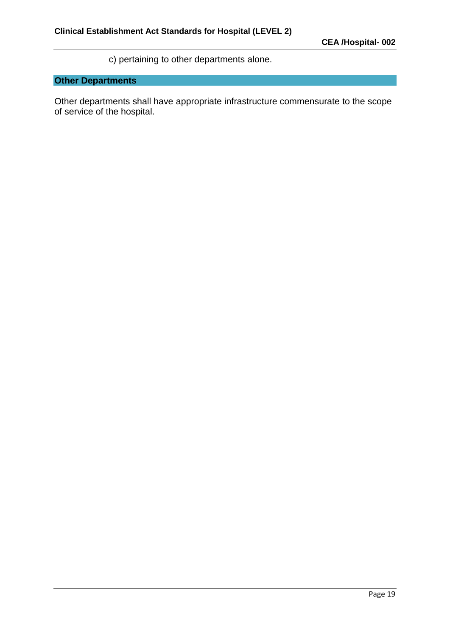c) pertaining to other departments alone.

## **Other Departments**

Other departments shall have appropriate infrastructure commensurate to the scope of service of the hospital.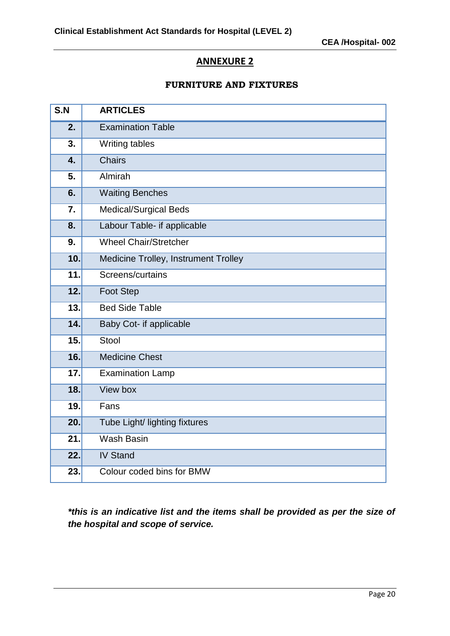#### **ANNEXURE 2**

#### **FURNITURE AND FIXTURES**

| S.N | <b>ARTICLES</b>                      |
|-----|--------------------------------------|
| 2.  | <b>Examination Table</b>             |
| 3.  | Writing tables                       |
| 4.  | <b>Chairs</b>                        |
| 5.  | Almirah                              |
| 6.  | <b>Waiting Benches</b>               |
| 7.  | <b>Medical/Surgical Beds</b>         |
| 8.  | Labour Table- if applicable          |
| 9.  | <b>Wheel Chair/Stretcher</b>         |
| 10. | Medicine Trolley, Instrument Trolley |
| 11. | Screens/curtains                     |
| 12. | Foot Step                            |
| 13. | <b>Bed Side Table</b>                |
| 14. | Baby Cot- if applicable              |
| 15. | Stool                                |
| 16. | <b>Medicine Chest</b>                |
| 17. | <b>Examination Lamp</b>              |
| 18. | View box                             |
| 19. | Fans                                 |
| 20. | Tube Light/ lighting fixtures        |
| 21. | Wash Basin                           |
| 22. | <b>IV Stand</b>                      |
| 23. | Colour coded bins for BMW            |

*\*this is an indicative list and the items shall be provided as per the size of the hospital and scope of service.*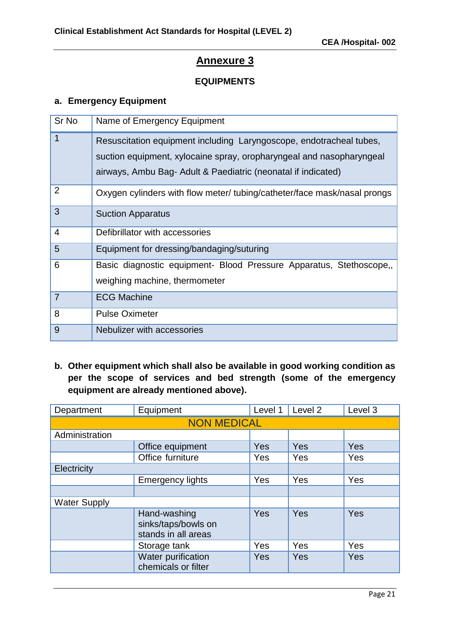#### **EQUIPMENTS**

#### **a. Emergency Equipment**

| Sr <sub>No</sub> | Name of Emergency Equipment                                                                                                                                                                                  |
|------------------|--------------------------------------------------------------------------------------------------------------------------------------------------------------------------------------------------------------|
| 1                | Resuscitation equipment including Laryngoscope, endotracheal tubes,<br>suction equipment, xylocaine spray, oropharyngeal and nasopharyngeal<br>airways, Ambu Bag- Adult & Paediatric (neonatal if indicated) |
| $\overline{2}$   | Oxygen cylinders with flow meter/ tubing/catheter/face mask/nasal prongs                                                                                                                                     |
| 3                | <b>Suction Apparatus</b>                                                                                                                                                                                     |
| $\overline{4}$   | Defibrillator with accessories                                                                                                                                                                               |
| 5                | Equipment for dressing/bandaging/suturing                                                                                                                                                                    |
| 6                | Basic diagnostic equipment- Blood Pressure Apparatus, Stethoscope,<br>weighing machine, thermometer                                                                                                          |
| $\overline{7}$   | <b>ECG Machine</b>                                                                                                                                                                                           |
| 8                | <b>Pulse Oximeter</b>                                                                                                                                                                                        |
| 9                | Nebulizer with accessories                                                                                                                                                                                   |

**b. Other equipment which shall also be available in good working condition as per the scope of services and bed strength (some of the emergency equipment are already mentioned above).**

| Department          | Equipment                                                  | Level 1    | Level 2    | Level 3 |  |  |
|---------------------|------------------------------------------------------------|------------|------------|---------|--|--|
| <b>NON MEDICAL</b>  |                                                            |            |            |         |  |  |
| Administration      |                                                            |            |            |         |  |  |
|                     | Office equipment                                           | Yes        | Yes        | Yes     |  |  |
|                     | Office furniture                                           | <b>Yes</b> | Yes        | Yes     |  |  |
| Electricity         |                                                            |            |            |         |  |  |
|                     | <b>Emergency lights</b>                                    | <b>Yes</b> | Yes        | Yes     |  |  |
|                     |                                                            |            |            |         |  |  |
| <b>Water Supply</b> |                                                            |            |            |         |  |  |
|                     | Hand-washing<br>sinks/taps/bowls on<br>stands in all areas | Yes        | <b>Yes</b> | Yes     |  |  |
|                     | Storage tank                                               | Yes        | Yes        | Yes     |  |  |
|                     | Water purification<br>chemicals or filter                  | Yes        | Yes        | Yes     |  |  |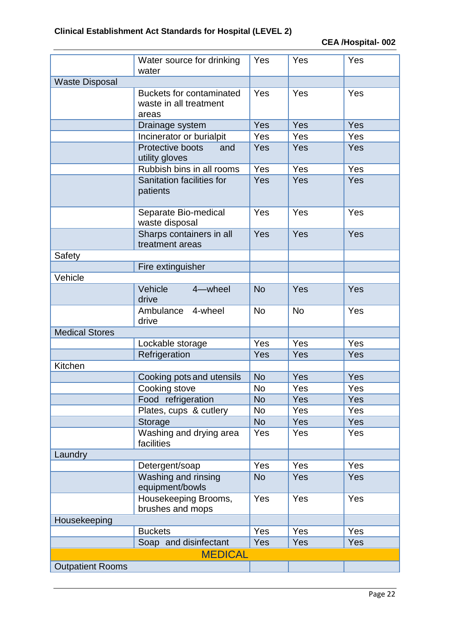|                         | Water source for drinking<br>water                                 | Yes        | Yes        | Yes |
|-------------------------|--------------------------------------------------------------------|------------|------------|-----|
| <b>Waste Disposal</b>   |                                                                    |            |            |     |
|                         | <b>Buckets for contaminated</b><br>waste in all treatment<br>areas | Yes        | Yes        | Yes |
|                         | Drainage system                                                    | Yes        | Yes        | Yes |
|                         | Incinerator or burialpit                                           | Yes        | Yes        | Yes |
|                         | Protective boots<br>and<br>utility gloves                          | Yes        | Yes        | Yes |
|                         | Rubbish bins in all rooms                                          | Yes        | Yes        | Yes |
|                         | Sanitation facilities for<br>patients                              | Yes        | Yes        | Yes |
|                         | Separate Bio-medical<br>waste disposal                             | Yes        | Yes        | Yes |
|                         | Sharps containers in all<br>treatment areas                        | Yes        | Yes        | Yes |
| Safety                  |                                                                    |            |            |     |
|                         | Fire extinguisher                                                  |            |            |     |
| Vehicle                 |                                                                    |            |            |     |
|                         | Vehicle<br>4-wheel<br>drive                                        | <b>No</b>  | Yes        | Yes |
|                         | Ambulance<br>4-wheel<br>drive                                      | <b>No</b>  | <b>No</b>  | Yes |
| <b>Medical Stores</b>   |                                                                    |            |            |     |
|                         | Lockable storage                                                   | Yes        | Yes        | Yes |
|                         | Refrigeration                                                      | Yes        | Yes        | Yes |
| Kitchen                 |                                                                    |            |            |     |
|                         | Cooking pots and utensils                                          | <b>No</b>  | Yes        | Yes |
|                         | Cooking stove                                                      | No         | Yes        | Yes |
|                         | Food refrigeration                                                 | <b>No</b>  | <b>Yes</b> | Yes |
|                         | Plates, cups & cutlery                                             | No         | Yes        | Yes |
|                         | Storage                                                            | <b>No</b>  | Yes        | Yes |
|                         | Washing and drying area<br>facilities                              | Yes        | Yes        | Yes |
| Laundry                 |                                                                    |            |            |     |
|                         | Detergent/soap                                                     | <b>Yes</b> | Yes        | Yes |
|                         | Washing and rinsing<br>equipment/bowls                             | <b>No</b>  | Yes        | Yes |
|                         | Housekeeping Brooms,<br>brushes and mops                           | Yes        | Yes        | Yes |
| Housekeeping            |                                                                    |            |            |     |
|                         | <b>Buckets</b>                                                     | Yes        | Yes        | Yes |
|                         | Soap and disinfectant                                              | Yes        | Yes        | Yes |
|                         | <b>MEDICAL</b>                                                     |            |            |     |
| <b>Outpatient Rooms</b> |                                                                    |            |            |     |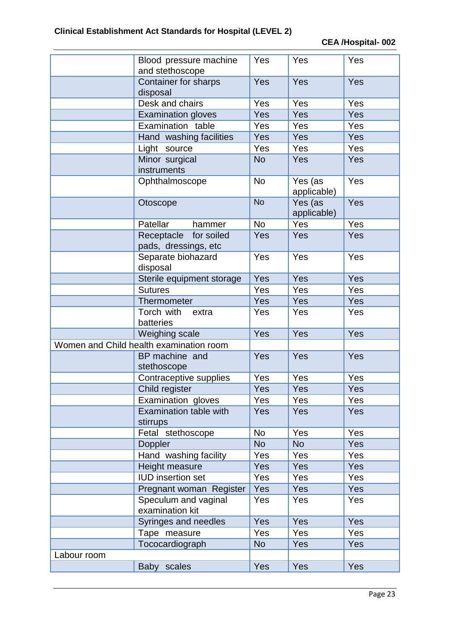|             | Blood pressure machine<br>and stethoscope     | Yes       | Yes                    | Yes |
|-------------|-----------------------------------------------|-----------|------------------------|-----|
|             | Container for sharps<br>disposal              | Yes       | Yes                    | Yes |
|             | Desk and chairs                               | Yes       | Yes                    | Yes |
|             | <b>Examination gloves</b>                     | Yes       | Yes                    | Yes |
|             | Examination table                             | Yes       | Yes                    | Yes |
|             | Hand washing facilities                       | Yes       | Yes                    | Yes |
|             | Light source                                  | Yes       | Yes                    | Yes |
|             | Minor surgical<br>instruments                 | <b>No</b> | Yes                    | Yes |
|             | Ophthalmoscope                                | <b>No</b> | Yes (as<br>applicable) | Yes |
|             | Otoscope                                      | <b>No</b> | Yes (as<br>applicable) | Yes |
|             | Patellar<br>hammer                            | <b>No</b> | Yes                    | Yes |
|             | Receptacle for soiled<br>pads, dressings, etc | Yes       | Yes                    | Yes |
|             | Separate biohazard<br>disposal                | Yes       | Yes                    | Yes |
|             | Sterile equipment storage                     | Yes       | Yes                    | Yes |
|             | <b>Sutures</b>                                | Yes       | Yes                    | Yes |
|             | Thermometer                                   | Yes       | Yes                    | Yes |
|             | Torch with<br>extra<br>batteries              | Yes       | Yes                    | Yes |
|             | Weighing scale                                | Yes       | Yes                    | Yes |
|             | Women and Child health examination room       |           |                        |     |
|             | BP machine and<br>stethoscope                 | Yes       | Yes                    | Yes |
|             | Contraceptive supplies                        | Yes       | Yes                    | Yes |
|             | Child register                                | Yes       | Yes                    | Yes |
|             | Examination gloves                            | Yes       | Yes                    | Yes |
|             | Examination table with<br>stirrups            | Yes       | Yes                    | Yes |
|             | Fetal stethoscope                             | <b>No</b> | Yes                    | Yes |
|             | Doppler                                       | <b>No</b> | <b>No</b>              | Yes |
|             | Hand washing facility                         | Yes       | Yes                    | Yes |
|             | Height measure                                | Yes       | Yes                    | Yes |
|             | <b>IUD</b> insertion set                      | Yes       | Yes                    | Yes |
|             | Pregnant woman Register                       | Yes       | Yes                    | Yes |
|             | Speculum and vaginal<br>examination kit       | Yes       | Yes                    | Yes |
|             | Syringes and needles                          | Yes       | <b>Yes</b>             | Yes |
|             | Tape measure                                  | Yes       | Yes                    | Yes |
|             | Tococardiograph                               | <b>No</b> | Yes                    | Yes |
| Labour room |                                               |           |                        |     |
|             | Baby scales                                   | Yes       | Yes                    | Yes |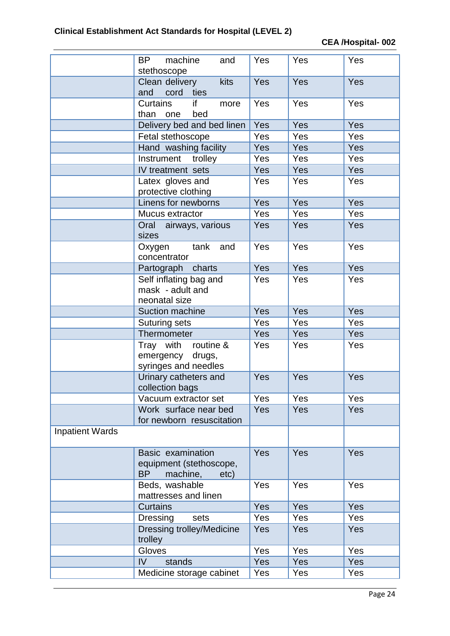|                        | <b>BP</b><br>machine<br>and<br>stethoscope                                    | Yes        | Yes        | Yes |
|------------------------|-------------------------------------------------------------------------------|------------|------------|-----|
|                        | kits<br>Clean delivery<br>and cord<br>ties                                    | Yes        | Yes        | Yes |
|                        | <b>Curtains</b><br>if<br>more<br>than<br>bed<br>one                           | Yes        | Yes        | Yes |
|                        | Delivery bed and bed linen                                                    | Yes        | Yes        | Yes |
|                        | Fetal stethoscope                                                             | Yes        | Yes        | Yes |
|                        | Hand washing facility                                                         | Yes        | Yes        | Yes |
|                        | Instrument<br>trolley                                                         | Yes        | Yes        | Yes |
|                        | IV treatment sets                                                             | Yes        | Yes        | Yes |
|                        | Latex gloves and<br>protective clothing                                       | Yes        | Yes        | Yes |
|                        | Linens for newborns                                                           | Yes        | Yes        | Yes |
|                        | Mucus extractor                                                               | Yes        | Yes        | Yes |
|                        | Oral airways, various<br>sizes                                                | Yes        | Yes        | Yes |
|                        | tank<br>and<br>Oxygen<br>concentrator                                         | Yes        | Yes        | Yes |
|                        | charts<br>Partograph                                                          | Yes        | <b>Yes</b> | Yes |
|                        | Self inflating bag and<br>mask - adult and<br>neonatal size                   | Yes        | Yes        | Yes |
|                        | Suction machine                                                               | Yes        | Yes        | Yes |
|                        | Suturing sets                                                                 | Yes        | Yes        | Yes |
|                        | Thermometer                                                                   | Yes        | Yes        | Yes |
|                        | routine &<br>Tray with<br>emergency<br>drugs,<br>syringes and needles         | Yes        | Yes        | Yes |
|                        | Urinary catheters and<br>collection bags                                      | Yes        | Yes        | Yes |
|                        | Vacuum extractor set                                                          | Yes        | Yes        | Yes |
|                        | Work surface near bed<br>for newborn resuscitation                            | <b>Yes</b> | <b>Yes</b> | Yes |
| <b>Inpatient Wards</b> |                                                                               |            |            |     |
|                        | Basic examination<br>equipment (stethoscope,<br><b>BP</b><br>machine,<br>etc) | <b>Yes</b> | Yes        | Yes |
|                        | Beds, washable<br>mattresses and linen                                        | <b>Yes</b> | Yes        | Yes |
|                        | <b>Curtains</b>                                                               | <b>Yes</b> | Yes        | Yes |
|                        | sets<br>Dressing                                                              | Yes        | Yes        | Yes |
|                        | <b>Dressing trolley/Medicine</b><br>trolley                                   | Yes        | Yes        | Yes |
|                        | Gloves                                                                        | Yes        | Yes        | Yes |
|                        | IV<br>stands                                                                  | Yes        | Yes        | Yes |
|                        | Medicine storage cabinet                                                      | Yes        | Yes        | Yes |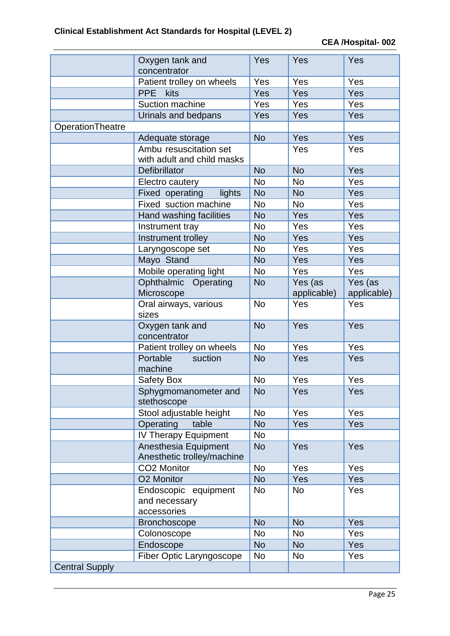|                       | Oxygen tank and<br>concentrator | Yes       | Yes         | Yes         |
|-----------------------|---------------------------------|-----------|-------------|-------------|
|                       | Patient trolley on wheels       | Yes       | Yes         | Yes         |
|                       | <b>PPE</b><br>kits              | Yes       | Yes         | Yes         |
|                       | Suction machine                 | Yes       | Yes         | Yes         |
|                       | Urinals and bedpans             | Yes       | Yes         | Yes         |
| OperationTheatre      |                                 |           |             |             |
|                       | Adequate storage                | <b>No</b> | Yes         | Yes         |
|                       | Ambu resuscitation set          |           | Yes         | Yes         |
|                       | with adult and child masks      |           |             |             |
|                       | Defibrillator                   | <b>No</b> | <b>No</b>   | Yes         |
|                       | Electro cautery                 | <b>No</b> | <b>No</b>   | Yes         |
|                       | Fixed operating<br>lights       | <b>No</b> | <b>No</b>   | Yes         |
|                       | Fixed suction machine           | <b>No</b> | <b>No</b>   | Yes         |
|                       | Hand washing facilities         | <b>No</b> | Yes         | Yes         |
|                       | Instrument tray                 | <b>No</b> | Yes         | Yes         |
|                       | Instrument trolley              | <b>No</b> | Yes         | Yes         |
|                       | Laryngoscope set                | <b>No</b> | Yes         | Yes         |
|                       | Mayo Stand                      | <b>No</b> | Yes         | Yes         |
|                       | Mobile operating light          | <b>No</b> | Yes         | Yes         |
|                       | Ophthalmic Operating            | <b>No</b> | Yes (as     | Yes (as     |
|                       | Microscope                      |           | applicable) | applicable) |
|                       | Oral airways, various<br>sizes  | <b>No</b> | Yes         | Yes         |
|                       | Oxygen tank and                 | <b>No</b> | Yes         | Yes         |
|                       | concentrator                    |           |             |             |
|                       | Patient trolley on wheels       | <b>No</b> | Yes         | Yes         |
|                       | Portable<br>suction             | <b>No</b> | Yes         | Yes         |
|                       | machine                         |           |             |             |
|                       | <b>Safety Box</b>               | <b>No</b> | Yes         | Yes         |
|                       | Sphygmomanometer and            | No.       | Yes         | Yes         |
|                       | stethoscope                     |           |             |             |
|                       | Stool adjustable height         | <b>No</b> | Yes         | Yes         |
|                       | Operating<br>table              | <b>No</b> | Yes         | Yes         |
|                       | <b>IV Therapy Equipment</b>     | No        |             |             |
|                       | Anesthesia Equipment            | <b>No</b> | <b>Yes</b>  | Yes         |
|                       | Anesthetic trolley/machine      |           |             |             |
|                       | CO2 Monitor                     | <b>No</b> | Yes         | Yes         |
|                       | O2 Monitor                      | <b>No</b> | Yes         | Yes         |
|                       | Endoscopic equipment            | No        | <b>No</b>   | Yes         |
|                       | and necessary                   |           |             |             |
|                       | accessories                     |           |             |             |
|                       | <b>Bronchoscope</b>             | <b>No</b> | <b>No</b>   | Yes         |
|                       | Colonoscope                     | <b>No</b> | <b>No</b>   | Yes         |
|                       | Endoscope                       | <b>No</b> | <b>No</b>   | Yes         |
|                       | Fiber Optic Laryngoscope        | <b>No</b> | <b>No</b>   | Yes         |
| <b>Central Supply</b> |                                 |           |             |             |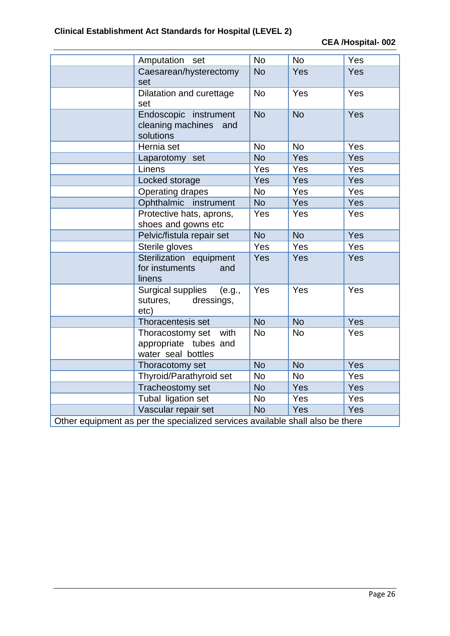|                                                                               | Amputation set                                                          | <b>No</b> | <b>No</b> | Yes |
|-------------------------------------------------------------------------------|-------------------------------------------------------------------------|-----------|-----------|-----|
|                                                                               | Caesarean/hysterectomy<br>set                                           | <b>No</b> | Yes       | Yes |
|                                                                               | Dilatation and curettage<br>set                                         | <b>No</b> | Yes       | Yes |
|                                                                               | Endoscopic instrument<br>cleaning machines<br>and<br>solutions          | <b>No</b> | <b>No</b> | Yes |
|                                                                               | Hernia set                                                              | <b>No</b> | <b>No</b> | Yes |
|                                                                               | Laparotomy set                                                          | <b>No</b> | Yes       | Yes |
|                                                                               | Linens                                                                  | Yes       | Yes       | Yes |
|                                                                               | Locked storage                                                          | Yes       | Yes       | Yes |
|                                                                               | Operating drapes                                                        | <b>No</b> | Yes       | Yes |
|                                                                               | Ophthalmic<br>instrument                                                | <b>No</b> | Yes       | Yes |
|                                                                               | Protective hats, aprons,<br>shoes and gowns etc                         | Yes       | Yes       | Yes |
|                                                                               | Pelvic/fistula repair set                                               | <b>No</b> | <b>No</b> | Yes |
|                                                                               | Sterile gloves                                                          | Yes       | Yes       | Yes |
|                                                                               | Sterilization equipment<br>for instuments<br>and<br>linens              | Yes       | Yes       | Yes |
|                                                                               | Surgical supplies<br>(e.g.,<br>sutures, dressings,<br>etc)              | Yes       | Yes       | Yes |
|                                                                               | Thoracentesis set                                                       | <b>No</b> | <b>No</b> | Yes |
|                                                                               | Thoracostomy set<br>with<br>appropriate tubes and<br>water seal bottles | <b>No</b> | <b>No</b> | Yes |
|                                                                               | Thoracotomy set                                                         | <b>No</b> | <b>No</b> | Yes |
|                                                                               | Thyroid/Parathyroid set                                                 | <b>No</b> | <b>No</b> | Yes |
|                                                                               | Tracheostomy set                                                        | <b>No</b> | Yes       | Yes |
|                                                                               | Tubal ligation set                                                      | <b>No</b> | Yes       | Yes |
|                                                                               | Vascular repair set                                                     | <b>No</b> | Yes       | Yes |
| Other equipment as per the specialized services available shall also be there |                                                                         |           |           |     |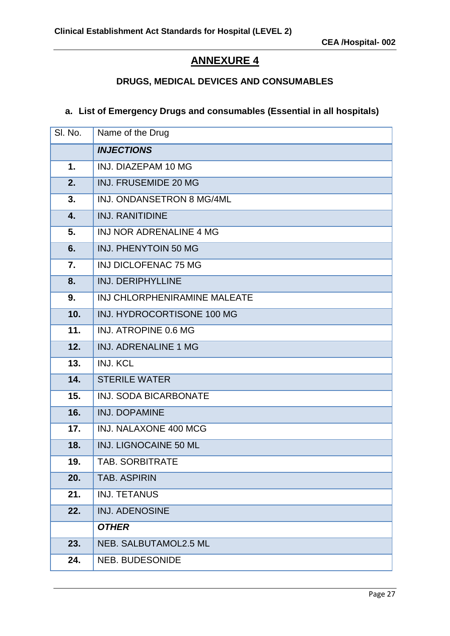## **ANNEXURE 4**

## **DRUGS, MEDICAL DEVICES AND CONSUMABLES**

#### **a. List of Emergency Drugs and consumables (Essential in all hospitals)**

| SI. No.          | Name of the Drug               |
|------------------|--------------------------------|
|                  | <b>INJECTIONS</b>              |
| $\mathbf 1$ .    | INJ. DIAZEPAM 10 MG            |
| 2.               | <b>INJ. FRUSEMIDE 20 MG</b>    |
| 3.               | INJ. ONDANSETRON 8 MG/4ML      |
| $\overline{4}$ . | <b>INJ. RANITIDINE</b>         |
| 5.               | <b>INJ NOR ADRENALINE 4 MG</b> |
| 6.               | INJ. PHENYTOIN 50 MG           |
| 7.               | <b>INJ DICLOFENAC 75 MG</b>    |
| 8.               | <b>INJ. DERIPHYLLINE</b>       |
| 9.               | INJ CHLORPHENIRAMINE MALEATE   |
| 10.              | INJ. HYDROCORTISONE 100 MG     |
| 11.              | INJ. ATROPINE 0.6 MG           |
| 12.              | <b>INJ. ADRENALINE 1 MG</b>    |
| 13.              | <b>INJ. KCL</b>                |
| 14.              | <b>STERILE WATER</b>           |
| 15.              | <b>INJ. SODA BICARBONATE</b>   |
| 16.              | <b>INJ. DOPAMINE</b>           |
| 17.              | <b>INJ. NALAXONE 400 MCG</b>   |
| 18.              | <b>INJ. LIGNOCAINE 50 ML</b>   |
| 19.              | TAB. SORBITRATE                |
| 20.              | <b>TAB. ASPIRIN</b>            |
| 21.              | <b>INJ. TETANUS</b>            |
| 22.              | <b>INJ. ADENOSINE</b>          |
|                  | <b>OTHER</b>                   |
| 23.              | NEB. SALBUTAMOL2.5 ML          |
| 24.              | <b>NEB. BUDESONIDE</b>         |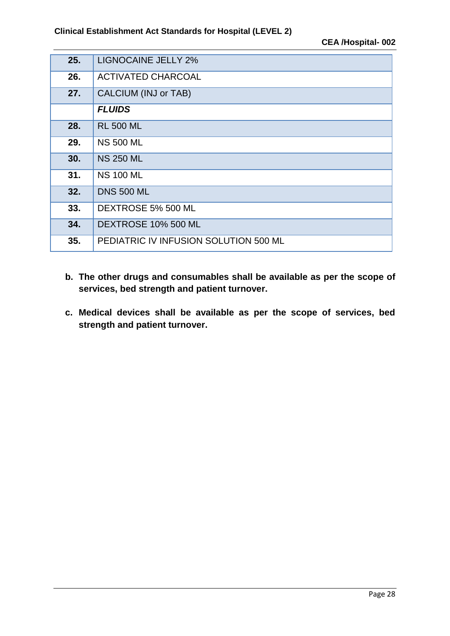| 25. | <b>LIGNOCAINE JELLY 2%</b>            |
|-----|---------------------------------------|
| 26. | <b>ACTIVATED CHARCOAL</b>             |
| 27. | CALCIUM (INJ or TAB)                  |
|     | <b>FLUIDS</b>                         |
| 28. | <b>RL 500 ML</b>                      |
| 29. | <b>NS 500 ML</b>                      |
| 30. | <b>NS 250 ML</b>                      |
| 31. | <b>NS 100 ML</b>                      |
| 32. | <b>DNS 500 ML</b>                     |
| 33. | DEXTROSE 5% 500 ML                    |
| 34. | DEXTROSE 10% 500 ML                   |
| 35. | PEDIATRIC IV INFUSION SOLUTION 500 ML |

- **b. The other drugs and consumables shall be available as per the scope of services, bed strength and patient turnover.**
- **c. Medical devices shall be available as per the scope of services, bed strength and patient turnover.**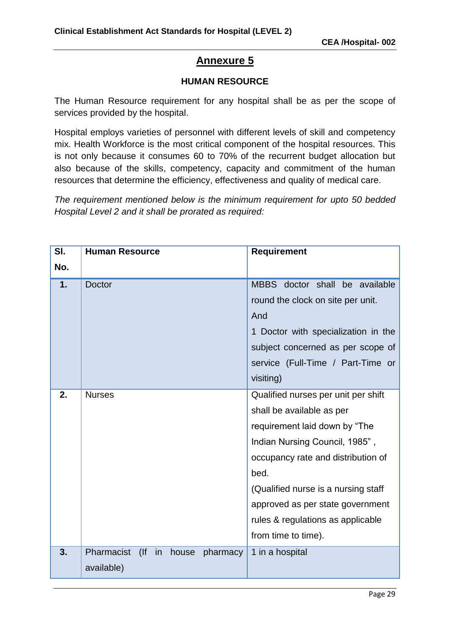#### **HUMAN RESOURCE**

The Human Resource requirement for any hospital shall be as per the scope of services provided by the hospital.

Hospital employs varieties of personnel with different levels of skill and competency mix. Health Workforce is the most critical component of the hospital resources. This is not only because it consumes 60 to 70% of the recurrent budget allocation but also because of the skills, competency, capacity and commitment of the human resources that determine the efficiency, effectiveness and quality of medical care.

*The requirement mentioned below is the minimum requirement for upto 50 bedded Hospital Level 2 and it shall be prorated as required:*

| SI. | <b>Human Resource</b>                      | <b>Requirement</b>                  |
|-----|--------------------------------------------|-------------------------------------|
| No. |                                            |                                     |
| 1.  | <b>Doctor</b>                              | MBBS doctor shall be available      |
|     |                                            | round the clock on site per unit.   |
|     |                                            | And                                 |
|     |                                            | 1 Doctor with specialization in the |
|     |                                            | subject concerned as per scope of   |
|     |                                            | service (Full-Time / Part-Time or   |
|     |                                            | visiting)                           |
| 2.  | <b>Nurses</b>                              | Qualified nurses per unit per shift |
|     |                                            | shall be available as per           |
|     |                                            | requirement laid down by "The       |
|     |                                            | Indian Nursing Council, 1985",      |
|     |                                            | occupancy rate and distribution of  |
|     |                                            | bed.                                |
|     |                                            | (Qualified nurse is a nursing staff |
|     |                                            | approved as per state government    |
|     |                                            | rules & regulations as applicable   |
|     |                                            | from time to time).                 |
| 3.  | Pharmacist<br>(<br>in<br>house<br>pharmacy | 1 in a hospital                     |
|     | available)                                 |                                     |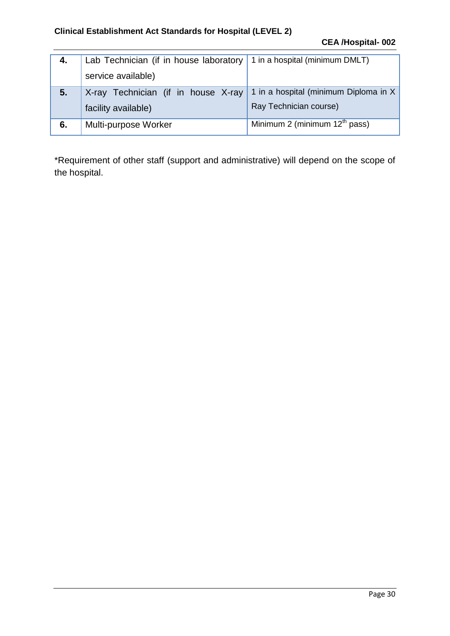#### **Clinical Establishment Act Standards for Hospital (LEVEL 2)**

| 4. | Lab Technician (if in house laboratory 1 in a hospital (minimum DMLT)        |                                 |
|----|------------------------------------------------------------------------------|---------------------------------|
|    | service available)                                                           |                                 |
| 5. | X-ray Technician (if in house $X$ -ray 1 in a hospital (minimum Diploma in X |                                 |
|    | facility available)                                                          | Ray Technician course)          |
| 6. | Multi-purpose Worker                                                         | Minimum 2 (minimum $12th$ pass) |

\*Requirement of other staff (support and administrative) will depend on the scope of the hospital.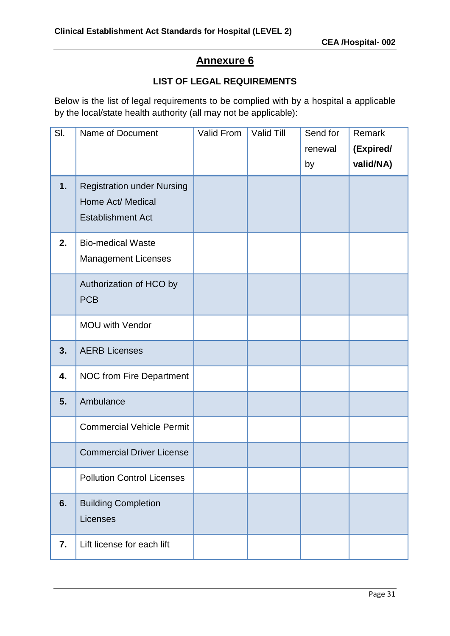## **LIST OF LEGAL REQUIREMENTS**

Below is the list of legal requirements to be complied with by a hospital a applicable by the local/state health authority (all may not be applicable):

| SI. | Name of Document                                                                   | Valid From | Valid Till | Send for | Remark    |
|-----|------------------------------------------------------------------------------------|------------|------------|----------|-----------|
|     |                                                                                    |            |            | renewal  | (Expired/ |
|     |                                                                                    |            |            | by       | valid/NA) |
| 1.  | <b>Registration under Nursing</b><br>Home Act/ Medical<br><b>Establishment Act</b> |            |            |          |           |
| 2.  | <b>Bio-medical Waste</b><br><b>Management Licenses</b>                             |            |            |          |           |
|     | Authorization of HCO by<br><b>PCB</b>                                              |            |            |          |           |
|     | <b>MOU with Vendor</b>                                                             |            |            |          |           |
| 3.  | <b>AERB Licenses</b>                                                               |            |            |          |           |
| 4.  | <b>NOC from Fire Department</b>                                                    |            |            |          |           |
| 5.  | Ambulance                                                                          |            |            |          |           |
|     | <b>Commercial Vehicle Permit</b>                                                   |            |            |          |           |
|     | <b>Commercial Driver License</b>                                                   |            |            |          |           |
|     | <b>Pollution Control Licenses</b>                                                  |            |            |          |           |
| 6.  | <b>Building Completion</b><br>Licenses                                             |            |            |          |           |
| 7.  | Lift license for each lift                                                         |            |            |          |           |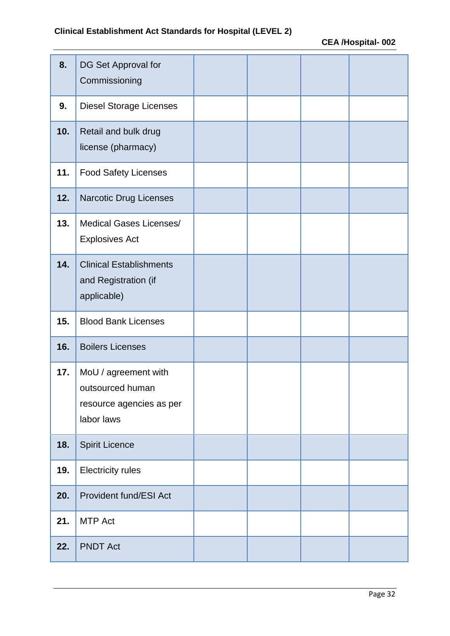| 8.  | DG Set Approval for<br>Commissioning                                               |  |  |
|-----|------------------------------------------------------------------------------------|--|--|
| 9.  | <b>Diesel Storage Licenses</b>                                                     |  |  |
| 10. | Retail and bulk drug<br>license (pharmacy)                                         |  |  |
| 11. | <b>Food Safety Licenses</b>                                                        |  |  |
| 12. | Narcotic Drug Licenses                                                             |  |  |
| 13. | Medical Gases Licenses/<br><b>Explosives Act</b>                                   |  |  |
| 14. | <b>Clinical Establishments</b><br>and Registration (if<br>applicable)              |  |  |
| 15. | <b>Blood Bank Licenses</b>                                                         |  |  |
| 16. | <b>Boilers Licenses</b>                                                            |  |  |
| 17. | MoU / agreement with<br>outsourced human<br>resource agencies as per<br>labor laws |  |  |
| 18. | <b>Spirit Licence</b>                                                              |  |  |
| 19. | <b>Electricity rules</b>                                                           |  |  |
| 20. | Provident fund/ESI Act                                                             |  |  |
| 21. | <b>MTP Act</b>                                                                     |  |  |
| 22. | <b>PNDT Act</b>                                                                    |  |  |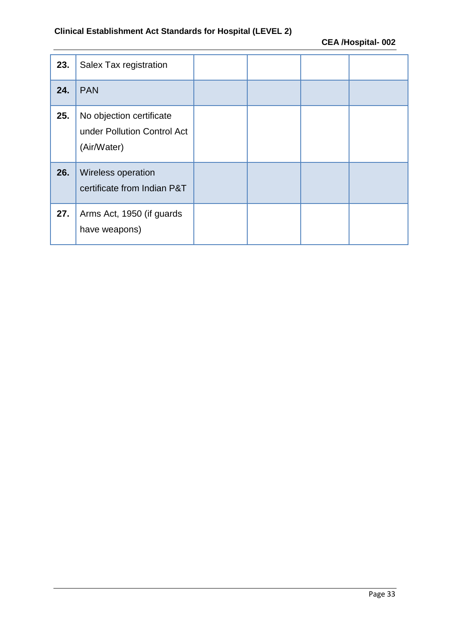## **Clinical Establishment Act Standards for Hospital (LEVEL 2)**

| 23. | Salex Tax registration                                                 |  |  |
|-----|------------------------------------------------------------------------|--|--|
| 24. | <b>PAN</b>                                                             |  |  |
| 25. | No objection certificate<br>under Pollution Control Act<br>(Air/Water) |  |  |
| 26. | Wireless operation<br>certificate from Indian P&T                      |  |  |
| 27. | Arms Act, 1950 (if guards<br>have weapons)                             |  |  |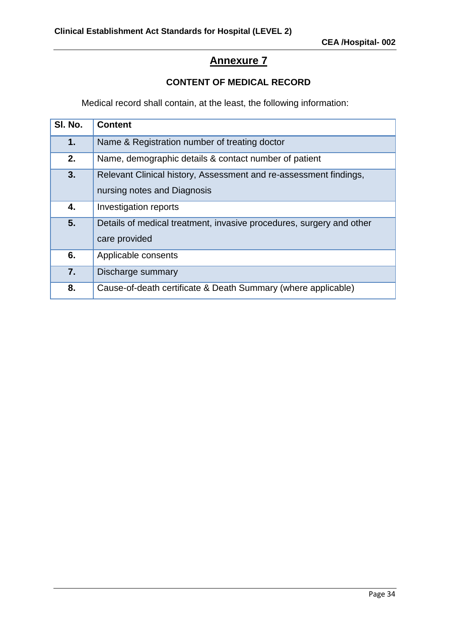## **CONTENT OF MEDICAL RECORD**

Medical record shall contain, at the least, the following information:

| SI. No. | <b>Content</b>                                                                                   |
|---------|--------------------------------------------------------------------------------------------------|
| 1.      | Name & Registration number of treating doctor                                                    |
| 2.      | Name, demographic details & contact number of patient                                            |
| 3.      | Relevant Clinical history, Assessment and re-assessment findings,<br>nursing notes and Diagnosis |
| 4.      | Investigation reports                                                                            |
| 5.      | Details of medical treatment, invasive procedures, surgery and other<br>care provided            |
| 6.      | Applicable consents                                                                              |
| 7.      | Discharge summary                                                                                |
| 8.      | Cause-of-death certificate & Death Summary (where applicable)                                    |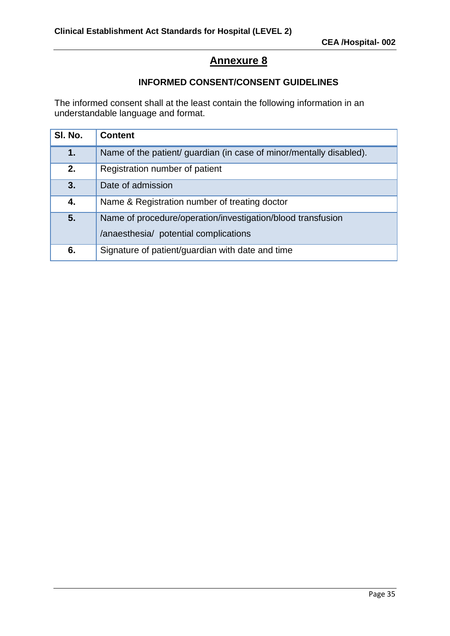#### **INFORMED CONSENT/CONSENT GUIDELINES**

The informed consent shall at the least contain the following information in an understandable language and format.

| SI. No. | <b>Content</b>                                                                                       |
|---------|------------------------------------------------------------------------------------------------------|
| 1.      | Name of the patient/ guardian (in case of minor/mentally disabled).                                  |
| 2.      | Registration number of patient                                                                       |
| 3.      | Date of admission                                                                                    |
| 4.      | Name & Registration number of treating doctor                                                        |
| 5.      | Name of procedure/operation/investigation/blood transfusion<br>/anaesthesia/ potential complications |
| 6.      | Signature of patient/guardian with date and time                                                     |